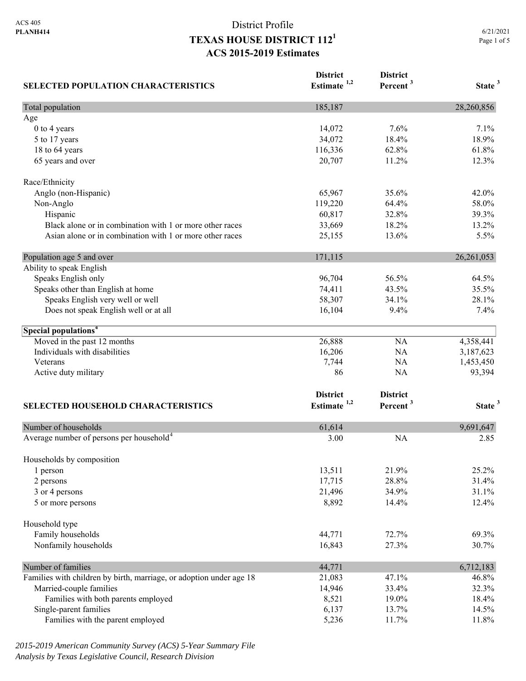## District Profile **TEXAS HOUSE DISTRICT 1121 ACS 2015-2019 Estimates**

| <b>SELECTED POPULATION CHARACTERISTICS</b>                          | <b>District</b><br>Estimate <sup>1,2</sup> | <b>District</b><br>Percent <sup>3</sup> | State <sup>3</sup> |
|---------------------------------------------------------------------|--------------------------------------------|-----------------------------------------|--------------------|
| Total population                                                    | 185,187                                    |                                         | 28,260,856         |
| Age                                                                 |                                            |                                         |                    |
| 0 to 4 years                                                        | 14,072                                     | 7.6%                                    | 7.1%               |
| 5 to 17 years                                                       | 34,072                                     | 18.4%                                   | 18.9%              |
| 18 to 64 years                                                      | 116,336                                    | 62.8%                                   | 61.8%              |
| 65 years and over                                                   | 20,707                                     | 11.2%                                   | 12.3%              |
| Race/Ethnicity                                                      |                                            |                                         |                    |
| Anglo (non-Hispanic)                                                | 65,967                                     | 35.6%                                   | 42.0%              |
| Non-Anglo                                                           | 119,220                                    | 64.4%                                   | 58.0%              |
| Hispanic                                                            | 60,817                                     | 32.8%                                   | 39.3%              |
| Black alone or in combination with 1 or more other races            | 33,669                                     | 18.2%                                   | 13.2%              |
| Asian alone or in combination with 1 or more other races            | 25,155                                     | 13.6%                                   | 5.5%               |
| Population age 5 and over                                           | 171,115                                    |                                         | 26, 261, 053       |
| Ability to speak English                                            |                                            |                                         |                    |
| Speaks English only                                                 | 96,704                                     | 56.5%                                   | 64.5%              |
| Speaks other than English at home                                   | 74,411                                     | 43.5%                                   | 35.5%              |
| Speaks English very well or well                                    | 58,307                                     | 34.1%                                   | 28.1%              |
| Does not speak English well or at all                               | 16,104                                     | 9.4%                                    | 7.4%               |
|                                                                     |                                            |                                         |                    |
| Special populations <sup>4</sup>                                    |                                            |                                         |                    |
| Moved in the past 12 months                                         | 26,888                                     | NA                                      | 4,358,441          |
| Individuals with disabilities                                       | 16,206                                     | <b>NA</b>                               | 3,187,623          |
| Veterans                                                            | 7,744                                      | <b>NA</b>                               | 1,453,450          |
| Active duty military                                                | 86                                         | <b>NA</b>                               | 93,394             |
|                                                                     | <b>District</b>                            | <b>District</b>                         |                    |
| <b>SELECTED HOUSEHOLD CHARACTERISTICS</b>                           | Estimate <sup>1,2</sup>                    | Percent <sup>3</sup>                    | State <sup>3</sup> |
| Number of households                                                | 61,614                                     |                                         | 9,691,647          |
| Average number of persons per household <sup>4</sup>                | 3.00                                       | <b>NA</b>                               | 2.85               |
|                                                                     |                                            |                                         |                    |
| Households by composition                                           |                                            |                                         |                    |
| 1 person                                                            | 13,511                                     | 21.9%                                   | 25.2%              |
| 2 persons                                                           | 17,715                                     | 28.8%                                   | 31.4%              |
| 3 or 4 persons                                                      | 21,496                                     | 34.9%                                   | 31.1%              |
| 5 or more persons                                                   | 8,892                                      | 14.4%                                   | 12.4%              |
| Household type                                                      |                                            |                                         |                    |
| Family households                                                   | 44,771                                     | 72.7%                                   | 69.3%              |
| Nonfamily households                                                | 16,843                                     | 27.3%                                   | 30.7%              |
| Number of families                                                  | 44,771                                     |                                         | 6,712,183          |
| Families with children by birth, marriage, or adoption under age 18 | 21,083                                     | 47.1%                                   | 46.8%              |
| Married-couple families                                             | 14,946                                     | 33.4%                                   | 32.3%              |
| Families with both parents employed                                 | 8,521                                      | 19.0%                                   | 18.4%              |
| Single-parent families                                              | 6,137                                      | 13.7%                                   | 14.5%              |
| Families with the parent employed                                   | 5,236                                      | 11.7%                                   | 11.8%              |

*2015-2019 American Community Survey (ACS) 5-Year Summary File Analysis by Texas Legislative Council, Research Division*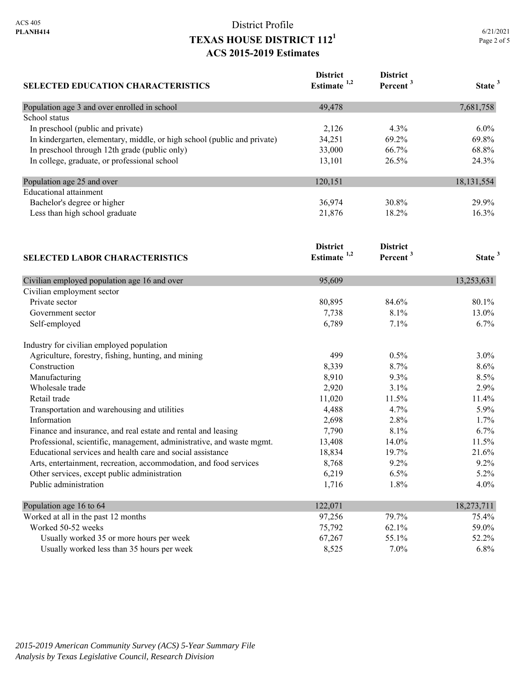### District Profile **TEXAS HOUSE DISTRICT 1121 ACS 2015-2019 Estimates**

| <b>SELECTED EDUCATION CHARACTERISTICS</b>                                | <b>District</b><br>Estimate <sup>1,2</sup> | <b>District</b><br>Percent <sup>3</sup> | State <sup>3</sup> |
|--------------------------------------------------------------------------|--------------------------------------------|-----------------------------------------|--------------------|
| Population age 3 and over enrolled in school                             | 49,478                                     |                                         | 7,681,758          |
| School status                                                            |                                            |                                         |                    |
| In preschool (public and private)                                        | 2,126                                      | 4.3%                                    | 6.0%               |
| In kindergarten, elementary, middle, or high school (public and private) | 34,251                                     | 69.2%                                   | 69.8%              |
| In preschool through 12th grade (public only)                            | 33,000                                     | 66.7%                                   | 68.8%              |
| In college, graduate, or professional school                             | 13,101                                     | 26.5%                                   | 24.3%              |
| Population age 25 and over                                               | 120,151                                    |                                         | 18, 131, 554       |
| <b>Educational</b> attainment                                            |                                            |                                         |                    |
| Bachelor's degree or higher                                              | 36,974                                     | 30.8%                                   | 29.9%              |
| Less than high school graduate                                           | 21,876                                     | 18.2%                                   | 16.3%              |
|                                                                          | <b>District</b>                            | <b>District</b>                         |                    |
| <b>SELECTED LABOR CHARACTERISTICS</b>                                    | Estimate <sup>1,2</sup>                    | Percent <sup>3</sup>                    | State <sup>3</sup> |
| Civilian employed population age 16 and over                             | 95,609                                     |                                         | 13,253,631         |
| Civilian employment sector                                               |                                            |                                         |                    |
| Private sector                                                           | 80,895                                     | 84.6%                                   | 80.1%              |
| Government sector                                                        | 7,738                                      | 8.1%                                    | 13.0%              |
| Self-employed                                                            | 6,789                                      | 7.1%                                    | 6.7%               |
| Industry for civilian employed population                                |                                            |                                         |                    |
| Agriculture, forestry, fishing, hunting, and mining                      | 499                                        | 0.5%                                    | 3.0%               |
| Construction                                                             | 8,339                                      | 8.7%                                    | 8.6%               |
| Manufacturing                                                            | 8,910                                      | 9.3%                                    | 8.5%               |
| Wholesale trade                                                          | 2,920                                      | 3.1%                                    | 2.9%               |
| Retail trade                                                             | 11,020                                     | 11.5%                                   | 11.4%              |
| Transportation and warehousing and utilities                             | 4,488                                      | 4.7%                                    | 5.9%               |
| Information                                                              | 2,698                                      | 2.8%                                    | 1.7%               |
| Finance and insurance, and real estate and rental and leasing            | 7,790                                      | 8.1%                                    | 6.7%               |
| Professional, scientific, management, administrative, and waste mgmt.    | 13,408                                     | 14.0%                                   | 11.5%              |
| Educational services and health care and social assistance               | 18,834                                     | 19.7%                                   | 21.6%              |
| Arts, entertainment, recreation, accommodation, and food services        | 8,768                                      | 9.2%                                    | 9.2%               |
| Other services, except public administration                             | 6,219                                      | 6.5%                                    | 5.2%               |
| Public administration                                                    | 1,716                                      | 1.8%                                    | 4.0%               |
| Population age 16 to 64                                                  | 122,071                                    |                                         | 18,273,711         |
| Worked at all in the past 12 months                                      | 97,256                                     | 79.7%                                   | 75.4%              |
| Worked 50-52 weeks                                                       | 75,792                                     | 62.1%                                   | 59.0%              |
| Usually worked 35 or more hours per week                                 | 67,267                                     | 55.1%                                   | 52.2%              |

Usually worked less than 35 hours per week 8,525 7.0% 6.8%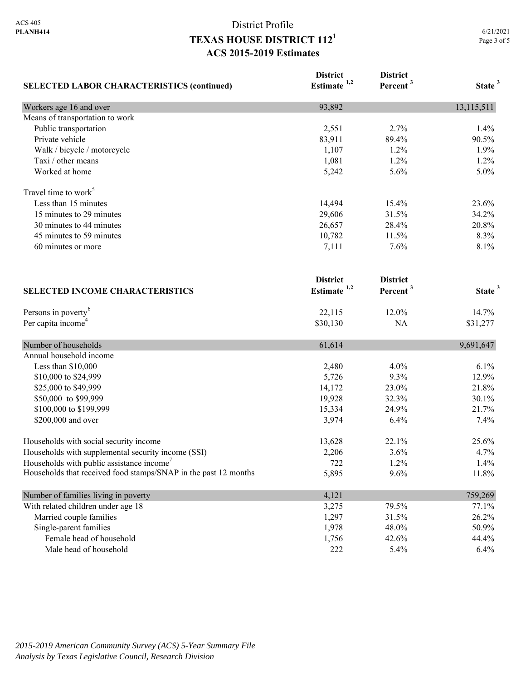# District Profile **TEXAS HOUSE DISTRICT 1121 ACS 2015-2019 Estimates**

| <b>SELECTED LABOR CHARACTERISTICS (continued)</b>               | <b>District</b><br>Estimate <sup>1,2</sup> | <b>District</b><br>Percent <sup>3</sup> | State <sup>3</sup> |
|-----------------------------------------------------------------|--------------------------------------------|-----------------------------------------|--------------------|
| Workers age 16 and over                                         | 93,892                                     |                                         | 13,115,511         |
| Means of transportation to work                                 |                                            |                                         |                    |
| Public transportation                                           | 2,551                                      | 2.7%                                    | 1.4%               |
| Private vehicle                                                 | 83,911                                     | 89.4%                                   | 90.5%              |
| Walk / bicycle / motorcycle                                     | 1,107                                      | 1.2%                                    | 1.9%               |
| Taxi / other means                                              | 1,081                                      | 1.2%                                    | 1.2%               |
| Worked at home                                                  | 5,242                                      | 5.6%                                    | 5.0%               |
| Travel time to work <sup>5</sup>                                |                                            |                                         |                    |
| Less than 15 minutes                                            | 14,494                                     | 15.4%                                   | 23.6%              |
| 15 minutes to 29 minutes                                        | 29,606                                     | 31.5%                                   | 34.2%              |
| 30 minutes to 44 minutes                                        | 26,657                                     | 28.4%                                   | 20.8%              |
| 45 minutes to 59 minutes                                        | 10,782                                     | 11.5%                                   | 8.3%               |
| 60 minutes or more<br><b>SELECTED INCOME CHARACTERISTICS</b>    | 7,111                                      | 7.6%                                    | 8.1%               |
|                                                                 | <b>District</b><br>Estimate <sup>1,2</sup> | <b>District</b><br>Percent <sup>3</sup> | State <sup>3</sup> |
|                                                                 |                                            |                                         |                    |
| Persons in poverty <sup>6</sup>                                 | 22,115                                     | 12.0%                                   | 14.7%              |
| Per capita income <sup>4</sup>                                  | \$30,130                                   | NA                                      | \$31,277           |
| Number of households                                            | 61,614                                     |                                         | 9,691,647          |
| Annual household income                                         |                                            |                                         |                    |
| Less than \$10,000                                              | 2,480                                      | 4.0%                                    | 6.1%               |
| \$10,000 to \$24,999                                            | 5,726                                      | 9.3%                                    | 12.9%              |
| \$25,000 to \$49,999                                            | 14,172                                     | 23.0%                                   | 21.8%              |
| \$50,000 to \$99,999                                            | 19,928                                     | 32.3%                                   | 30.1%              |
| \$100,000 to \$199,999                                          | 15,334                                     | 24.9%                                   | 21.7%              |
| \$200,000 and over                                              | 3,974                                      | 6.4%                                    | 7.4%               |
| Households with social security income                          | 13,628                                     | 22.1%                                   | 25.6%              |
| Households with supplemental security income (SSI)              | 2,206                                      | 3.6%                                    | 4.7%               |
| Households with public assistance income                        | 722                                        | 1.2%                                    | 1.4%               |
| Households that received food stamps/SNAP in the past 12 months | 5,895                                      | 9.6%                                    | 11.8%              |
| Number of families living in poverty                            | 4,121                                      |                                         | 759,269            |
| With related children under age 18                              | 3,275                                      | 79.5%                                   | 77.1%              |
| Married couple families                                         | 1,297                                      | 31.5%                                   | 26.2%              |
| Single-parent families                                          | 1,978                                      | 48.0%                                   | 50.9%              |
| Female head of household                                        | 1,756                                      | 42.6%                                   | 44.4%              |
| Male head of household                                          | 222                                        | 5.4%                                    | 6.4%               |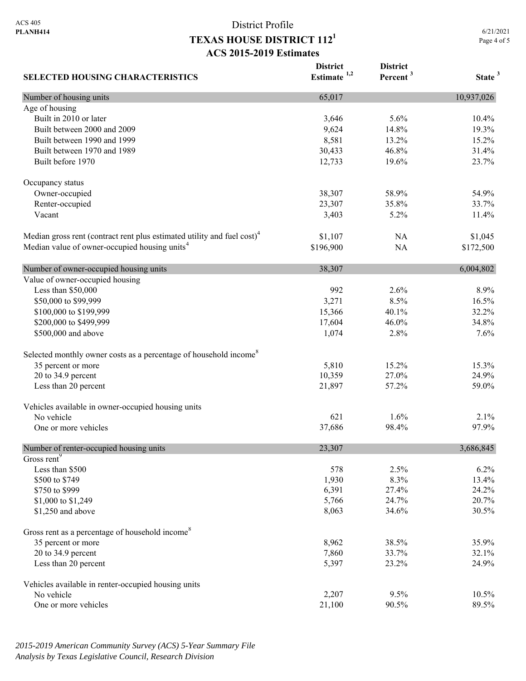**SELECTED HOUSING CHARACTERISTICS**

### District Profile **TEXAS HOUSE DISTRICT 1121 ACS 2015-2019 Estimates**

**District Estimate 1,2**  **District** 

**Percent <sup>3</sup> State <sup>3</sup>**

Number of housing units 10,937,026 Age of housing Built in 2010 or later 10.4% 10.4% 10.4% 10.4% 10.4% 10.4% 10.4% 10.4% 10.5.6% 10.4% Built between 2000 and 2009 19.3% 19.3% 19.3% 19.3% 19.3% Built between 1990 and 1999 **8,581** 13.2% 15.2% Built between 1970 and 1989 30,433 46.8% 31.4% Built before 1970 23.7% 23.7% 23.7% Occupancy status Owner-occupied 38,307 58.9% 54.9% 54.9% Renter-occupied 23,307 35.8% 33.7% Vacant 3,403 5.2% 11.4% Median gross rent (contract rent plus estimated utility and fuel cost)<sup>4</sup> \$1,107 NA \$1,045 Median value of owner-occupied housing units<sup>4</sup> \$196,900 NA \$172,500 Number of owner-occupied housing units 38,307 6,004,802 Value of owner-occupied housing Less than \$50,000 992 2.6% 8.9% \$50,000 to \$99,999 50,000 to \$99,999 50,000 to \$99,999 50,000 to \$99,999 16.5% 60,000 to \$99,999 50,000 for the state of the state of the state of the state of the state of the state of the state of the state of the state \$100,000 to \$199,999 15,366 40.1% 32.2% 40.1% 32.2% \$200,000 to \$499,999 17,604 46.0% 34.8% \$500,000 and above 1,074 2.8% 7.6% 7.6% Selected monthly owner costs as a percentage of household income<sup>8</sup> 35 percent or more 15.3% 15.3% 15.3% 20 to 34.9 percent 24.9% 22.0% 24.9% 26.000 26.000 27.00% 27.00% 24.9% Less than 20 percent 21,897 57.2% 59.0% Vehicles available in owner-occupied housing units No vehicle  $621$   $1.6\%$   $2.1\%$ One or more vehicles 8 and 1.0 and 2.0 and 37,686 98.4% 97.9% Number of renter-occupied housing units 23,307 3,686,845 Gross rent<sup>9</sup> Less than \$500  $578$   $2.5\%$   $6.2\%$ \$500 to \$749 13.4% 13.4% 1,930 8.3% 13.4%  $$750 \text{ to } $999$  24.2% 24.2% \$1,000 to \$1,249 20.7% 20.7% 20.7% 20.7% 20.7% \$1,250 and above 30.5% 32.6% 30.5% 32.6% 30.5% 32.6% 30.5% 32.6% 30.5% 32.6% 32.5% 32.5% 32.5% 32.5% 32.5% 32.5% 32.5% 32.5% 32.5% 32.5% 32.5% 32.5% 32.5% 32.5% 32.5% 32.5% 32.5% 32.5% 32.5% 32.5% 32.5% 32.5% 32.5% 32.5% 3 Gross rent as a percentage of household income<sup>8</sup> 35 percent or more 35.9% 35.9% 35.9% 20 to 34.9 percent 32.1% 32.1% Less than 20 percent 24.9% 24.9% 25.397 23.2% 24.9% Vehicles available in renter-occupied housing units No vehicle 2,207 9.5% 10.5% 10.5% One or more vehicles 89.5% 89.5% 89.5%